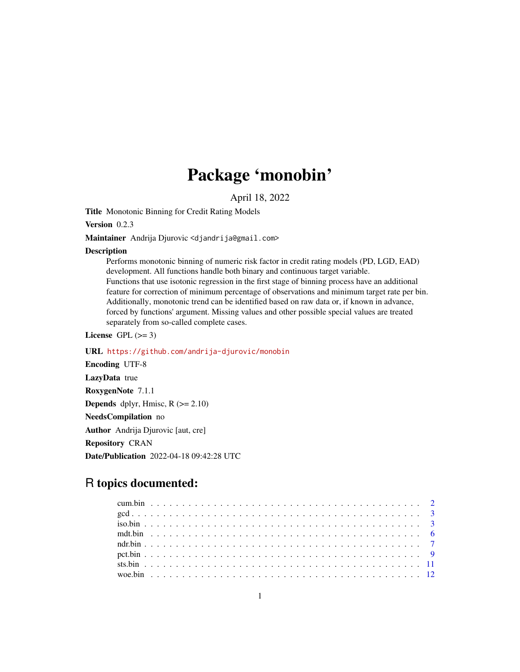## Package 'monobin'

April 18, 2022

Title Monotonic Binning for Credit Rating Models

Version 0.2.3

Maintainer Andrija Djurovic <djandrija@gmail.com>

#### **Description**

Performs monotonic binning of numeric risk factor in credit rating models (PD, LGD, EAD) development. All functions handle both binary and continuous target variable. Functions that use isotonic regression in the first stage of binning process have an additional feature for correction of minimum percentage of observations and minimum target rate per bin. Additionally, monotonic trend can be identified based on raw data or, if known in advance, forced by functions' argument. Missing values and other possible special values are treated separately from so-called complete cases.

License GPL  $(>= 3)$ 

URL <https://github.com/andrija-djurovic/monobin> Encoding UTF-8 LazyData true RoxygenNote 7.1.1 **Depends** dplyr, Hmisc,  $R$  ( $>= 2.10$ ) NeedsCompilation no Author Andrija Djurovic [aut, cre] Repository CRAN Date/Publication 2022-04-18 09:42:28 UTC

### R topics documented: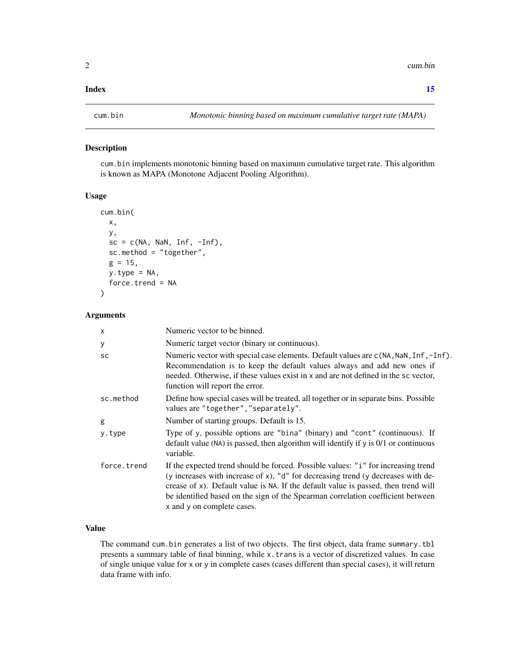#### <span id="page-1-0"></span>**Index** [15](#page-14-0)

#### Description

cum.bin implements monotonic binning based on maximum cumulative target rate. This algorithm is known as MAPA (Monotone Adjacent Pooling Algorithm).

#### Usage

```
cum.bin(
  x,
  y,
  sc = c(NA, \text{NaN}, \text{Inf}, -Inf),sc.method = "together",
  g = 15,
  y.type = NA,force.trend = NA
)
```
#### Arguments

| X           | Numeric vector to be binned.                                                                                                                                                                                                                                                                                                                                                 |
|-------------|------------------------------------------------------------------------------------------------------------------------------------------------------------------------------------------------------------------------------------------------------------------------------------------------------------------------------------------------------------------------------|
| У           | Numeric target vector (binary or continuous).                                                                                                                                                                                                                                                                                                                                |
| <b>SC</b>   | Numeric vector with special case elements. Default values are c(NA, NaN, Inf, -Inf).<br>Recommendation is to keep the default values always and add new ones if<br>needed. Otherwise, if these values exist in x and are not defined in the sc vector,<br>function will report the error.                                                                                    |
| sc.method   | Define how special cases will be treated, all together or in separate bins. Possible<br>values are "together", "separately".                                                                                                                                                                                                                                                 |
| g           | Number of starting groups. Default is 15.                                                                                                                                                                                                                                                                                                                                    |
| y.type      | Type of y, possible options are "bina" (binary) and "cont" (continuous). If<br>default value (NA) is passed, then algorithm will identify if y is 0/1 or continuous<br>variable.                                                                                                                                                                                             |
| force.trend | If the expected trend should be forced. Possible values: "i" for increasing trend<br>(y increases with increase of x), "d" for decreasing trend (y decreases with de-<br>crease of x). Default value is NA. If the default value is passed, then trend will<br>be identified based on the sign of the Spearman correlation coefficient between<br>x and y on complete cases. |

#### Value

The command cum.bin generates a list of two objects. The first object, data frame summary.tbl presents a summary table of final binning, while x.trans is a vector of discretized values. In case of single unique value for x or y in complete cases (cases different than special cases), it will return data frame with info.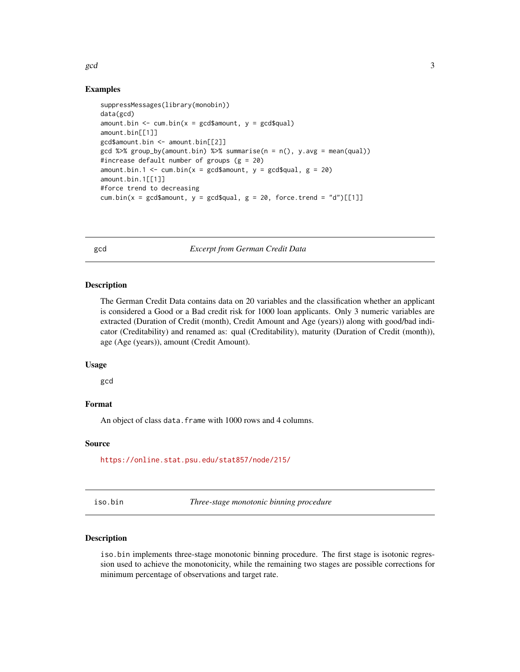#### <span id="page-2-0"></span> $\gcd$  3

#### Examples

```
suppressMessages(library(monobin))
data(gcd)
amount.bin \leq cum.bin(x = gcd$amount, y = gcd$qual)
amount.bin[[1]]
gcd$amount.bin <- amount.bin[[2]]
gcd %\gg% group_by(amount.bin) %\gg% summarise(n = n(), y.avg = mean(qual))
#increase default number of groups (g = 20)
amount.bin.1 <- cum.bin(x = \text{gcd}\amount, y = \text{gcd}\amount.bin.1[[1]]
#force trend to decreasing
cum.bin(x = gcd$amount, y = gcd$qual, g = 20, force.trend = "d")[[1]]
```
gcd *Excerpt from German Credit Data*

#### Description

The German Credit Data contains data on 20 variables and the classification whether an applicant is considered a Good or a Bad credit risk for 1000 loan applicants. Only 3 numeric variables are extracted (Duration of Credit (month), Credit Amount and Age (years)) along with good/bad indicator (Creditability) and renamed as: qual (Creditability), maturity (Duration of Credit (month)), age (Age (years)), amount (Credit Amount).

#### Usage

gcd

#### Format

An object of class data. frame with 1000 rows and 4 columns.

#### Source

<https://online.stat.psu.edu/stat857/node/215/>

<span id="page-2-1"></span>iso.bin *Three-stage monotonic binning procedure*

#### Description

iso.bin implements three-stage monotonic binning procedure. The first stage is isotonic regression used to achieve the monotonicity, while the remaining two stages are possible corrections for minimum percentage of observations and target rate.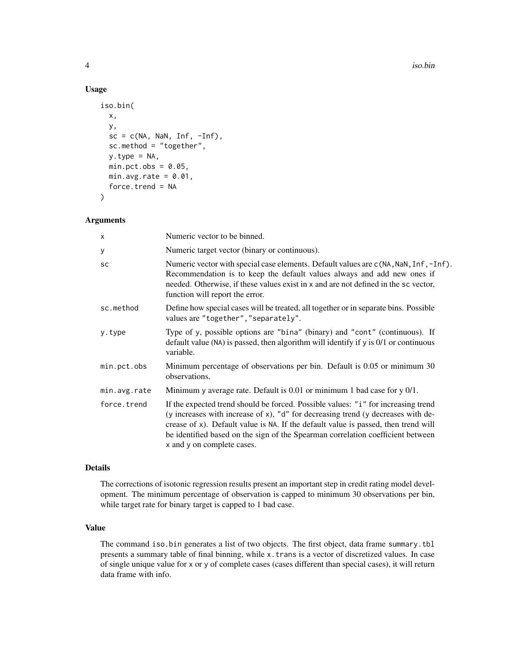#### Usage

```
iso.bin(
  x,
  y,
  sc = c(NA, \text{NaN}, \text{Inf}, -Inf),sc.method = "together",
  y.type = NA,min. pct. obs = 0.05,
  min.argv_rate = 0.01,
  force.trend = NA
\mathcal{L}
```
#### Arguments

| x            | Numeric vector to be binned.                                                                                                                                                                                                                                                                                                                                                 |
|--------------|------------------------------------------------------------------------------------------------------------------------------------------------------------------------------------------------------------------------------------------------------------------------------------------------------------------------------------------------------------------------------|
| У            | Numeric target vector (binary or continuous).                                                                                                                                                                                                                                                                                                                                |
| SC           | Numeric vector with special case elements. Default values are c(NA, NaN, Inf, -Inf).<br>Recommendation is to keep the default values always and add new ones if<br>needed. Otherwise, if these values exist in x and are not defined in the sc vector,<br>function will report the error.                                                                                    |
| sc.method    | Define how special cases will be treated, all together or in separate bins. Possible<br>values are "together", "separately".                                                                                                                                                                                                                                                 |
| y.type       | Type of y, possible options are "bina" (binary) and "cont" (continuous). If<br>default value (NA) is passed, then algorithm will identify if $y$ is $0/1$ or continuous<br>variable.                                                                                                                                                                                         |
| min.pct.obs  | Minimum percentage of observations per bin. Default is 0.05 or minimum 30<br>observations.                                                                                                                                                                                                                                                                                   |
| min.avg.rate | Minimum y average rate. Default is $0.01$ or minimum 1 bad case for y $0/1$ .                                                                                                                                                                                                                                                                                                |
| force.trend  | If the expected trend should be forced. Possible values: "i" for increasing trend<br>(y increases with increase of x), "d" for decreasing trend (y decreases with de-<br>crease of x). Default value is NA. If the default value is passed, then trend will<br>be identified based on the sign of the Spearman correlation coefficient between<br>x and y on complete cases. |

#### Details

The corrections of isotonic regression results present an important step in credit rating model development. The minimum percentage of observation is capped to minimum 30 observations per bin, while target rate for binary target is capped to 1 bad case.

#### Value

The command iso.bin generates a list of two objects. The first object, data frame summary.tbl presents a summary table of final binning, while x.trans is a vector of discretized values. In case of single unique value for x or y of complete cases (cases different than special cases), it will return data frame with info.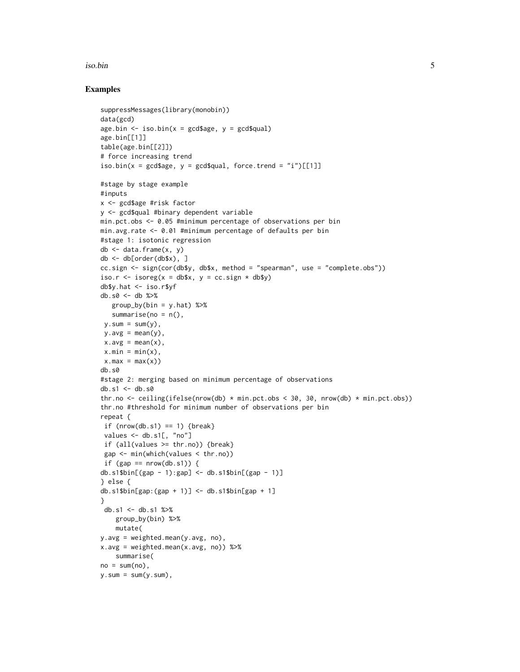#### iso.bin 5

#### Examples

```
suppressMessages(library(monobin))
data(gcd)
age.bin \le iso.bin(x = gcd$age, y = gcd$qual)
age.bin[[1]]
table(age.bin[[2]])
# force increasing trend
iso.bin(x = \text{gcd}$age, y = \text{gcd}$qual, force.trend = "i")[[1]]
#stage by stage example
#inputs
x <- gcd$age #risk factor
y <- gcd$qual #binary dependent variable
min.pct.obs <- 0.05 #minimum percentage of observations per bin
min.avg.rate <- 0.01 #minimum percentage of defaults per bin
#stage 1: isotonic regression
db <- data.frame(x, y)
db <- db[order(db$x), ]
cc.sign <- sign(cor(db$y, db$x, method = "spearman", use = "complete.obs"))
iso.r \le isoreg(x = db$x, y = cc.sign \star db$y)
db$y.hat <- iso.r$yf
db.s0 <- db %>%
   group_by(bin = y.hat) %>%
   summarise(no = n(),
y.sum = sum(y),
y.avg = mean(y),
x.avg = mean(x),
x.min = min(x),
x.max = max(x)db.s0
#stage 2: merging based on minimum percentage of observations
db.s1 < - db.s0thr.no <- ceiling(ifelse(nrow(db) * min.pct.obs < 30, 30, nrow(db) * min.pct.obs))
thr.no #threshold for minimum number of observations per bin
repeat {
 if (nrow(db.s1) == 1) {break}
 values <- db.s1[, "no"]
 if (all(values >= thr.no)) {break}
 gap <- min(which(values < thr.no))
 if (gap == nrow(db.s1)) {
db.s1$bin[(gap - 1):gap] < - db.s1$bin[(gap - 1)]} else {
db.s1$bin[gap:(gap + 1)] <- db.s1$bin[gap + 1]
}
 db.s1 <- db.s1 %>%
   group_by(bin) %>%
   mutate(
y.avg = weighted.mean(y.avg, no),
x.avg = weighted.macan(x.avg, no) %>%
   summarise(
no = sum(no),
y.sum = sum(y.sum),
```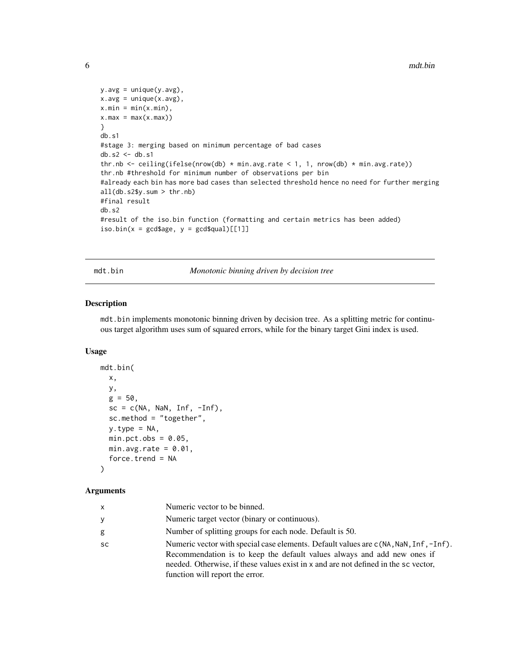```
y.\text{avg} = \text{unique}(y.\text{avg}),x.\text{avg} = \text{unique}(x.\text{avg}),x.min = min(x.min),x.max = max(x.max))}
db.s1
#stage 3: merging based on minimum percentage of bad cases
db.s2 \leftarrow db.s1thr.nb <- ceiling(ifelse(nrow(db) * min.avg.rate < 1, 1, nrow(db) * min.avg.rate))
thr.nb #threshold for minimum number of observations per bin
#already each bin has more bad cases than selected threshold hence no need for further merging
all(db.s2$y.sum > thr.nb)
#final result
db.s2
#result of the iso.bin function (formatting and certain metrics has been added)
iso.bin(x = gcd\age, y = gcd\qual)[[1]]
```
mdt.bin *Monotonic binning driven by decision tree*

#### Description

mdt.bin implements monotonic binning driven by decision tree. As a splitting metric for continuous target algorithm uses sum of squared errors, while for the binary target Gini index is used.

#### Usage

```
mdt.bin(
  x,
  y,
  g = 50,
  sc = c(NA, \text{NaN}, \text{Inf}, -Inf),sc.method = "together",
  y.type = NA,
  min. pct. obs = 0.05,min.avg.rate = 0.01,
  force.trend = NA
\lambda
```
#### Arguments

| x         | Numeric vector to be binned.                                                                                                                                                                                                                                                              |
|-----------|-------------------------------------------------------------------------------------------------------------------------------------------------------------------------------------------------------------------------------------------------------------------------------------------|
| V         | Numeric target vector (binary or continuous).                                                                                                                                                                                                                                             |
| g         | Number of splitting groups for each node. Default is 50.                                                                                                                                                                                                                                  |
| <b>SC</b> | Numeric vector with special case elements. Default values are c(NA, NaN, Inf, -Inf).<br>Recommendation is to keep the default values always and add new ones if<br>needed. Otherwise, if these values exist in x and are not defined in the sc vector,<br>function will report the error. |

<span id="page-5-0"></span>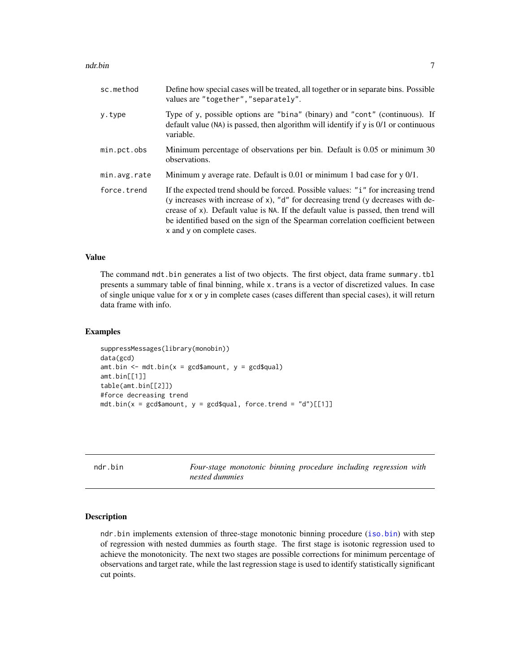#### <span id="page-6-0"></span>ndr.bin 77

| sc.method    | Define how special cases will be treated, all together or in separate bins. Possible<br>values are "together", "separately".                                                                                                                                                                                                                                                 |
|--------------|------------------------------------------------------------------------------------------------------------------------------------------------------------------------------------------------------------------------------------------------------------------------------------------------------------------------------------------------------------------------------|
| y.type       | Type of y, possible options are "bina" (binary) and "cont" (continuous). If<br>default value (NA) is passed, then algorithm will identify if $y$ is $0/1$ or continuous<br>variable.                                                                                                                                                                                         |
| min.pct.obs  | Minimum percentage of observations per bin. Default is 0.05 or minimum 30<br>observations.                                                                                                                                                                                                                                                                                   |
| min.avg.rate | Minimum y average rate. Default is $0.01$ or minimum 1 bad case for y $0/1$ .                                                                                                                                                                                                                                                                                                |
| force.trend  | If the expected trend should be forced. Possible values: "i" for increasing trend<br>(y increases with increase of x), "d" for decreasing trend (y decreases with de-<br>crease of x). Default value is NA. If the default value is passed, then trend will<br>be identified based on the sign of the Spearman correlation coefficient between<br>x and y on complete cases. |

#### Value

The command mdt.bin generates a list of two objects. The first object, data frame summary.tbl presents a summary table of final binning, while x.trans is a vector of discretized values. In case of single unique value for x or y in complete cases (cases different than special cases), it will return data frame with info.

#### Examples

```
suppressMessages(library(monobin))
data(gcd)
amt.bin \leq mdt.bin(x = gcd$amount, y = gcd$qual)
amt.bin[[1]]
table(amt.bin[[2]])
#force decreasing trend
mdt.bin(x = \text{gcd\$a}mount, y = \text{gcd\$qual}, force.trend = "d")[[1]]
```
ndr.bin *Four-stage monotonic binning procedure including regression with nested dummies*

#### Description

ndr.bin implements extension of three-stage monotonic binning procedure ([iso.bin](#page-2-1)) with step of regression with nested dummies as fourth stage. The first stage is isotonic regression used to achieve the monotonicity. The next two stages are possible corrections for minimum percentage of observations and target rate, while the last regression stage is used to identify statistically significant cut points.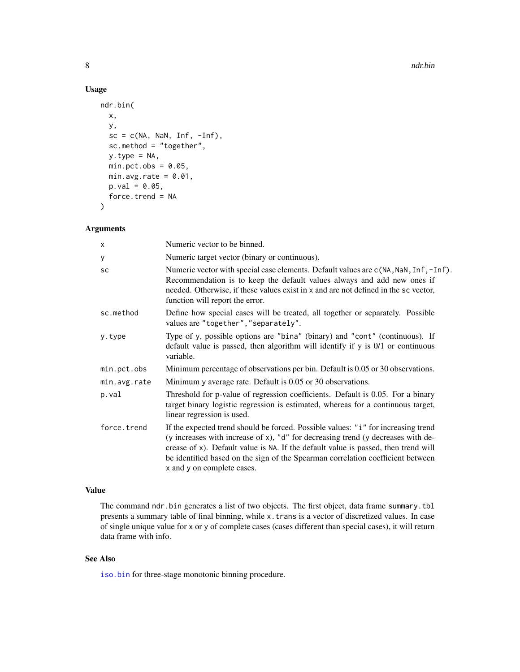#### Usage

```
ndr.bin(
  x,
  y,
  sc = c(NA, \text{NaN}, \text{Inf}, -Inf),sc.method = "together",
  y.type = NA,
  min. pct. obs = 0.05,
  min.avg.rate = 0.01,p.val = 0.05,
  force.trend = NA
)
```
#### Arguments

| Numeric vector to be binned.                                                                                                                                                                                                                                                                                                                                                 |
|------------------------------------------------------------------------------------------------------------------------------------------------------------------------------------------------------------------------------------------------------------------------------------------------------------------------------------------------------------------------------|
| Numeric target vector (binary or continuous).                                                                                                                                                                                                                                                                                                                                |
| Numeric vector with special case elements. Default values are c(NA, NaN, Inf, -Inf).<br>Recommendation is to keep the default values always and add new ones if<br>needed. Otherwise, if these values exist in x and are not defined in the sc vector,<br>function will report the error.                                                                                    |
| Define how special cases will be treated, all together or separately. Possible<br>values are "together", "separately".                                                                                                                                                                                                                                                       |
| Type of y, possible options are "bina" (binary) and "cont" (continuous). If<br>default value is passed, then algorithm will identify if y is 0/1 or continuous<br>variable.                                                                                                                                                                                                  |
| Minimum percentage of observations per bin. Default is 0.05 or 30 observations.                                                                                                                                                                                                                                                                                              |
| Minimum y average rate. Default is 0.05 or 30 observations.                                                                                                                                                                                                                                                                                                                  |
| Threshold for p-value of regression coefficients. Default is 0.05. For a binary<br>target binary logistic regression is estimated, whereas for a continuous target,<br>linear regression is used.                                                                                                                                                                            |
| If the expected trend should be forced. Possible values: "i" for increasing trend<br>(y increases with increase of x), "d" for decreasing trend (y decreases with de-<br>crease of x). Default value is NA. If the default value is passed, then trend will<br>be identified based on the sign of the Spearman correlation coefficient between<br>x and y on complete cases. |
|                                                                                                                                                                                                                                                                                                                                                                              |

#### Value

The command ndr.bin generates a list of two objects. The first object, data frame summary.tbl presents a summary table of final binning, while x.trans is a vector of discretized values. In case of single unique value for x or y of complete cases (cases different than special cases), it will return data frame with info.

#### See Also

[iso.bin](#page-2-1) for three-stage monotonic binning procedure.

<span id="page-7-0"></span>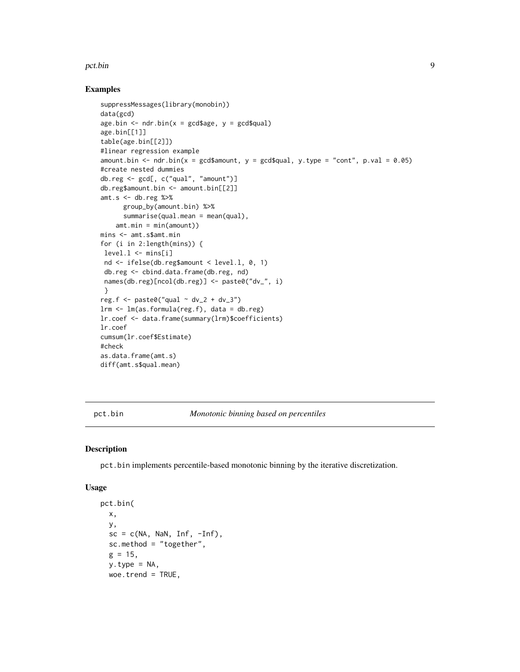#### <span id="page-8-0"></span>pct.bin 9

#### Examples

```
suppressMessages(library(monobin))
data(gcd)
age.bin \leq ndr.bin(x = gcd$age, y = gcd$qual)
age.bin[[1]]
table(age.bin[[2]])
#linear regression example
amount.bin \leq ndr.bin(x = gcd$amount, y = gcd$qual, y.type = "cont", p.val = 0.05)
#create nested dummies
db.reg <- gcd[, c("qual", "amount")]
db.reg$amount.bin <- amount.bin[[2]]
amt.s <- db.reg %>%
      group_by(amount.bin) %>%
      summarise(qual.mean = mean(qual),
    amt.min = min(amount))
mins <- amt.s$amt.min
for (i in 2:length(mins)) {
level.1 \leftarrow miss[i]nd <- ifelse(db.reg$amount < level.l, 0, 1)
 db.reg <- cbind.data.frame(db.reg, nd)
 names(db.reg)[ncol(db.reg)] <- paste0("dv_", i)
 }
reg.f \leq paste0("qual \sim dv_2 + dv_3")
lrm <- lm(as.formula(reg.f), data = db.reg)
lr.coef <- data.frame(summary(lrm)$coefficients)
lr.coef
cumsum(lr.coef$Estimate)
#check
as.data.frame(amt.s)
diff(amt.s$qual.mean)
```
pct.bin *Monotonic binning based on percentiles*

#### Description

pct.bin implements percentile-based monotonic binning by the iterative discretization.

#### Usage

```
pct.bin(
  x,
  y,
  sc = c(NA, \text{NaN}, \text{Inf}, -Inf),sc.method = "together",
  g = 15,
  y.type = NA,
  woe.trend = TRUE,
```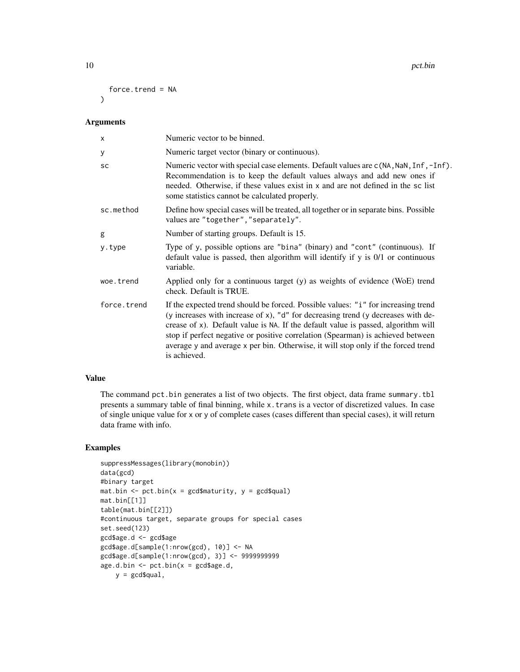```
force.trend = NA
\lambda
```
#### Arguments

| $\mathsf{x}$ | Numeric vector to be binned.                                                                                                                                                                                                                                                                                                                                                                                                                       |
|--------------|----------------------------------------------------------------------------------------------------------------------------------------------------------------------------------------------------------------------------------------------------------------------------------------------------------------------------------------------------------------------------------------------------------------------------------------------------|
| У            | Numeric target vector (binary or continuous).                                                                                                                                                                                                                                                                                                                                                                                                      |
| <b>SC</b>    | Numeric vector with special case elements. Default values are c(NA, NaN, Inf, -Inf).<br>Recommendation is to keep the default values always and add new ones if<br>needed. Otherwise, if these values exist in x and are not defined in the sc list<br>some statistics cannot be calculated properly.                                                                                                                                              |
| sc.method    | Define how special cases will be treated, all together or in separate bins. Possible<br>values are "together", "separately".                                                                                                                                                                                                                                                                                                                       |
| g            | Number of starting groups. Default is 15.                                                                                                                                                                                                                                                                                                                                                                                                          |
| y.type       | Type of y, possible options are "bina" (binary) and "cont" (continuous). If<br>default value is passed, then algorithm will identify if $y$ is $0/1$ or continuous<br>variable.                                                                                                                                                                                                                                                                    |
| woe.trend    | Applied only for a continuous target (y) as weights of evidence (WoE) trend<br>check. Default is TRUE.                                                                                                                                                                                                                                                                                                                                             |
| force.trend  | If the expected trend should be forced. Possible values: "i" for increasing trend<br>(y increases with increase of x), "d" for decreasing trend (y decreases with de-<br>crease of x). Default value is NA. If the default value is passed, algorithm will<br>stop if perfect negative or positive correlation (Spearman) is achieved between<br>average y and average x per bin. Otherwise, it will stop only if the forced trend<br>is achieved. |

#### Value

The command pct.bin generates a list of two objects. The first object, data frame summary.tbl presents a summary table of final binning, while x.trans is a vector of discretized values. In case of single unique value for x or y of complete cases (cases different than special cases), it will return data frame with info.

#### Examples

```
suppressMessages(library(monobin))
data(gcd)
#binary target
mat.bin \leq pct.bin(x = gcd$maturity, y = gcd$qual)
mat.bin[[1]]
table(mat.bin[[2]])
#continuous target, separate groups for special cases
set.seed(123)
gcd$age.d <- gcd$age
gcd$age.d[sample(1:nrow(gcd), 10)] <- NA
gcd$age.d[sample(1:nrow(gcd), 3)] <- 9999999999
age.d.bin \leftarrow pct.bin(x = gcd\ age.d,
    y = \text{gcd}\squal,
```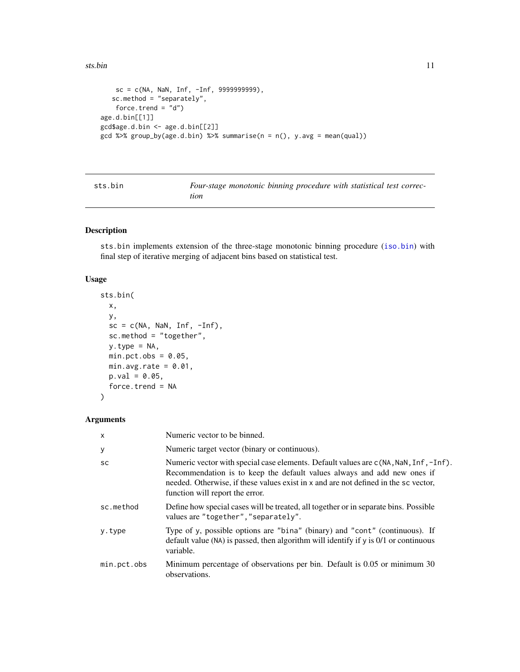#### <span id="page-10-0"></span>sts.bin 11

```
sc = c(NA, \text{NaN}, \text{Inf}, -Inf, 9999999999),
   sc.method = "separately",
    force.trend = "d")
age.d.bin[[1]]
gcd$age.d.bin <- age.d.bin[[2]]
gcd %>% group_by(age.d.bin) %>% summarise(n = n(), y.avg = mean(qual))
```

| sts.bin |  |
|---------|--|
|         |  |

Four-stage monotonic binning procedure with statistical test correc*tion*

#### Description

sts.bin implements extension of the three-stage monotonic binning procedure ([iso.bin](#page-2-1)) with final step of iterative merging of adjacent bins based on statistical test.

#### Usage

```
sts.bin(
  x,
  y,
  sc = c(NA, \text{NaN}, \text{Inf}, -Inf),sc.method = "together",
  y.type = NA,
  min. pct. obs = 0.05,
  min.avg.rate = 0.01,
  p.val = 0.05,
  force.trend = NA
\mathcal{L}
```
#### Arguments

| $\mathsf{x}$ | Numeric vector to be binned.                                                                                                                                                                                                                                                              |
|--------------|-------------------------------------------------------------------------------------------------------------------------------------------------------------------------------------------------------------------------------------------------------------------------------------------|
| У            | Numeric target vector (binary or continuous).                                                                                                                                                                                                                                             |
| <b>SC</b>    | Numeric vector with special case elements. Default values are c(NA, NaN, Inf, -Inf).<br>Recommendation is to keep the default values always and add new ones if<br>needed. Otherwise, if these values exist in x and are not defined in the sc vector,<br>function will report the error. |
| sc.method    | Define how special cases will be treated, all together or in separate bins. Possible<br>values are "together", "separately".                                                                                                                                                              |
| y.type       | Type of y, possible options are "bina" (binary) and "cont" (continuous). If<br>default value (NA) is passed, then algorithm will identify if y is $0/1$ or continuous<br>variable.                                                                                                        |
| min.pct.obs  | Minimum percentage of observations per bin. Default is 0.05 or minimum 30<br>observations.                                                                                                                                                                                                |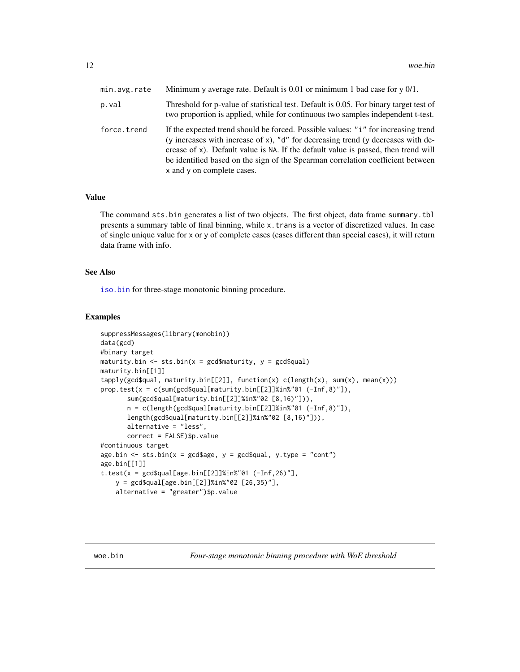<span id="page-11-0"></span>

| min.avg.rate | Minimum y average rate. Default is $0.01$ or minimum 1 bad case for y $0/1$ .                                                                                                                                                                                                                                                                                                |
|--------------|------------------------------------------------------------------------------------------------------------------------------------------------------------------------------------------------------------------------------------------------------------------------------------------------------------------------------------------------------------------------------|
| p.val        | Threshold for p-value of statistical test. Default is 0.05. For binary target test of<br>two proportion is applied, while for continuous two samples independent t-test.                                                                                                                                                                                                     |
| force.trend  | If the expected trend should be forced. Possible values: "i" for increasing trend<br>(y increases with increase of x), "d" for decreasing trend (y decreases with de-<br>crease of x). Default value is NA. If the default value is passed, then trend will<br>be identified based on the sign of the Spearman correlation coefficient between<br>x and y on complete cases. |

#### Value

The command sts.bin generates a list of two objects. The first object, data frame summary.tbl presents a summary table of final binning, while x.trans is a vector of discretized values. In case of single unique value for x or y of complete cases (cases different than special cases), it will return data frame with info.

#### See Also

[iso.bin](#page-2-1) for three-stage monotonic binning procedure.

#### Examples

```
suppressMessages(library(monobin))
data(gcd)
#binary target
maturity.bin \leq sts.bin(x = gcd$maturity, y = gcd$qual)
maturity.bin[[1]]
tapply(gcd$qual, maturity.bin[[2]], function(x) c(length(x), sum(x), mean(x)))
prop.test(x = c(sum(gcd$qual[maturity.bin[[2]]%in%"01 (-Inf,8)"]),
       sum(gcd$qual[maturity.bin[[2]]%in%"02 [8,16)"])),
       n = c(length(gcd$qual[maturity.bin[[2]]%in%"01 (-Inf,8)"]),
       length(gcd$qual[maturity.bin[[2]]%in%"02 [8,16)"])),
       alternative = "less",
       correct = FALSE)$p.value
#continuous target
age.bin \le sts.bin(x = gcd$age, y = gcd$qual, y.type = "cont")
age.bin[[1]]
t.test(x = gcd$qual[age.bin[[2]]%in%"01 (-Inf,26)"],
    y = gcd$qual[age.bin[[2]]%in%"02 [26,35)"],
    alternative = "greater")$p.value
```
woe.bin *Four-stage monotonic binning procedure with WoE threshold*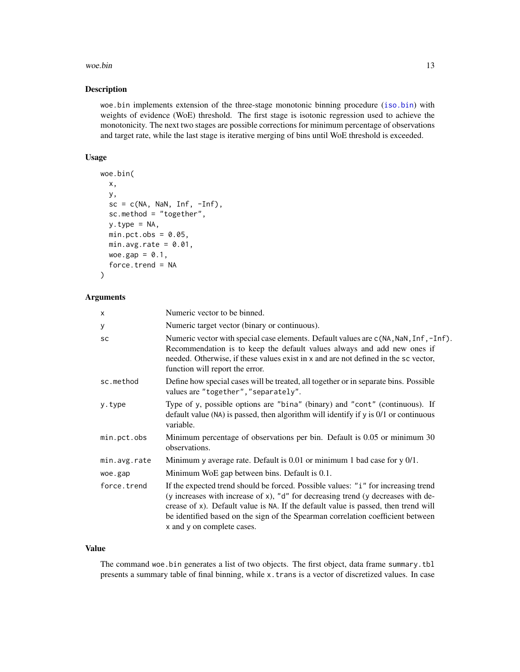#### woe.bin  $13$

#### Description

woe.bin implements extension of the three-stage monotonic binning procedure ([iso.bin](#page-2-1)) with weights of evidence (WoE) threshold. The first stage is isotonic regression used to achieve the monotonicity. The next two stages are possible corrections for minimum percentage of observations and target rate, while the last stage is iterative merging of bins until WoE threshold is exceeded.

#### Usage

```
woe.bin(
  x,
 y,
  sc = c(NA, \text{NaN}, \text{Inf}, -Inf),sc.method = "together",
 y.type = NA,
 min.pct.obs = 0.05,
 min.avg.rate = 0.01,
 woe.gap = 0.1,
  force.trend = NA
)
```
#### Arguments

| X            | Numeric vector to be binned.                                                                                                                                                                                                                                                                                                                                                 |
|--------------|------------------------------------------------------------------------------------------------------------------------------------------------------------------------------------------------------------------------------------------------------------------------------------------------------------------------------------------------------------------------------|
| У            | Numeric target vector (binary or continuous).                                                                                                                                                                                                                                                                                                                                |
| SC           | Numeric vector with special case elements. Default values are c(NA, NaN, Inf, -Inf).<br>Recommendation is to keep the default values always and add new ones if<br>needed. Otherwise, if these values exist in x and are not defined in the sc vector,<br>function will report the error.                                                                                    |
| sc.method    | Define how special cases will be treated, all together or in separate bins. Possible<br>values are "together", "separately".                                                                                                                                                                                                                                                 |
| y.type       | Type of y, possible options are "bina" (binary) and "cont" (continuous). If<br>default value (NA) is passed, then algorithm will identify if y is 0/1 or continuous<br>variable.                                                                                                                                                                                             |
| min.pct.obs  | Minimum percentage of observations per bin. Default is 0.05 or minimum 30<br>observations.                                                                                                                                                                                                                                                                                   |
| min.avg.rate | Minimum y average rate. Default is 0.01 or minimum 1 bad case for y 0/1.                                                                                                                                                                                                                                                                                                     |
| woe.gap      | Minimum WoE gap between bins. Default is 0.1.                                                                                                                                                                                                                                                                                                                                |
| force.trend  | If the expected trend should be forced. Possible values: "i" for increasing trend<br>(y increases with increase of x), "d" for decreasing trend (y decreases with de-<br>crease of x). Default value is NA. If the default value is passed, then trend will<br>be identified based on the sign of the Spearman correlation coefficient between<br>x and y on complete cases. |

#### Value

The command woe.bin generates a list of two objects. The first object, data frame summary.tbl presents a summary table of final binning, while x.trans is a vector of discretized values. In case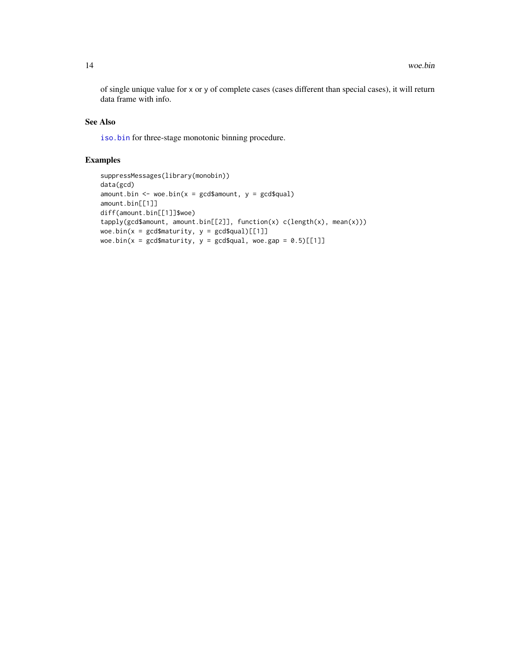<span id="page-13-0"></span>of single unique value for x or y of complete cases (cases different than special cases), it will return data frame with info.

#### See Also

[iso.bin](#page-2-1) for three-stage monotonic binning procedure.

#### Examples

```
suppressMessages(library(monobin))
data(gcd)
amount.bin \leq woe.bin(x = gcd$amount, y = gcd$qual)
amount.bin[[1]]
diff(amount.bin[[1]]$woe)
tapply(gcd$amount, amount.bin[[2]], function(x) c(length(x), mean(x)))
woe.bin(x = \gcd\{\text{S}\text{matrix}, y = \gcd\{\text{S}\text{quad}\}[[1]]
woe.bin(x = \text{gcd$matrix}, y = \text{gcd$equal}, woe.gap = 0.5)[[1]]
```